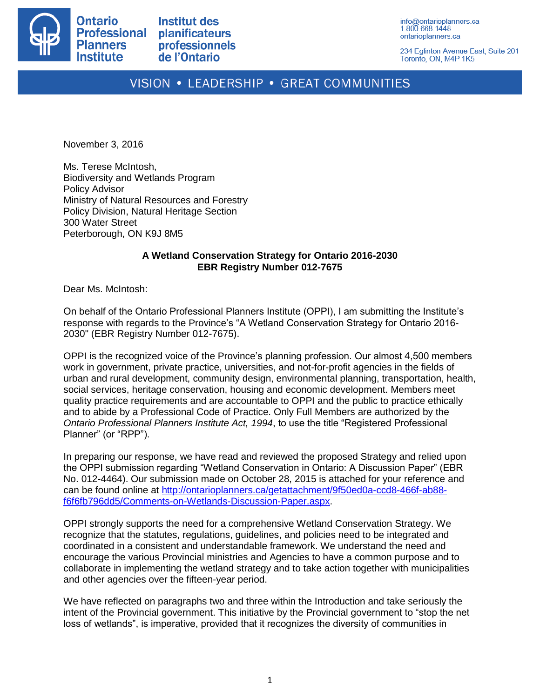

**Institut des** planificateurs professionnels de l'Ontario

info@ontarioplanners.ca 1.800.668.1448 ontarioplanners.ca

234 Eglinton Avenue East, Suite 201 Toronto, ON, M4P 1K5

## VISION • LEADERSHIP • GREAT COMMUNITIES

November 3, 2016

Ms. Terese McIntosh, Biodiversity and Wetlands Program Policy Advisor Ministry of Natural Resources and Forestry Policy Division, Natural Heritage Section 300 Water Street Peterborough, ON K9J 8M5

## **A Wetland Conservation Strategy for Ontario 2016-2030 EBR Registry Number 012-7675**

Dear Ms. McIntosh:

On behalf of the Ontario Professional Planners Institute (OPPI), I am submitting the Institute's response with regards to the Province's "A Wetland Conservation Strategy for Ontario 2016- 2030" (EBR Registry Number 012-7675).

OPPI is the recognized voice of the Province's planning profession. Our almost 4,500 members work in government, private practice, universities, and not-for-profit agencies in the fields of urban and rural development, community design, environmental planning, transportation, health, social services, heritage conservation, housing and economic development. Members meet quality practice requirements and are accountable to OPPI and the public to practice ethically and to abide by a Professional Code of Practice. Only Full Members are authorized by the *Ontario Professional Planners Institute Act, 1994*, to use the title "Registered Professional Planner" (or "RPP").

In preparing our response, we have read and reviewed the proposed Strategy and relied upon the OPPI submission regarding "Wetland Conservation in Ontario: A Discussion Paper" (EBR No. 012-4464). Our submission made on October 28, 2015 is attached for your reference and can be found online at [http://ontarioplanners.ca/getattachment/9f50ed0a-ccd8-466f-ab88](http://ontarioplanners.ca/getattachment/9f50ed0a-ccd8-466f-ab88-f6f6fb796dd5/Comments-on-Wetlands-Discussion-Paper.aspx) [f6f6fb796dd5/Comments-on-Wetlands-Discussion-Paper.aspx.](http://ontarioplanners.ca/getattachment/9f50ed0a-ccd8-466f-ab88-f6f6fb796dd5/Comments-on-Wetlands-Discussion-Paper.aspx)

OPPI strongly supports the need for a comprehensive Wetland Conservation Strategy. We recognize that the statutes, regulations, guidelines, and policies need to be integrated and coordinated in a consistent and understandable framework. We understand the need and encourage the various Provincial ministries and Agencies to have a common purpose and to collaborate in implementing the wetland strategy and to take action together with municipalities and other agencies over the fifteen-year period.

We have reflected on paragraphs two and three within the Introduction and take seriously the intent of the Provincial government. This initiative by the Provincial government to "stop the net loss of wetlands", is imperative, provided that it recognizes the diversity of communities in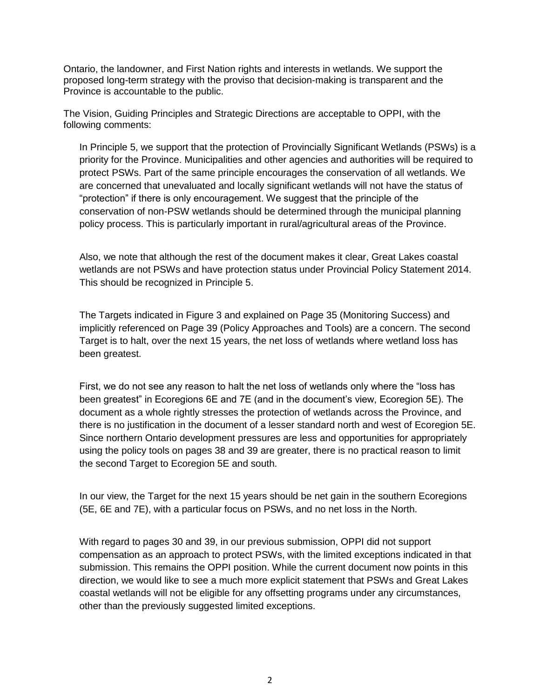Ontario, the landowner, and First Nation rights and interests in wetlands. We support the proposed long-term strategy with the proviso that decision-making is transparent and the Province is accountable to the public.

The Vision, Guiding Principles and Strategic Directions are acceptable to OPPI, with the following comments:

In Principle 5, we support that the protection of Provincially Significant Wetlands (PSWs) is a priority for the Province. Municipalities and other agencies and authorities will be required to protect PSWs. Part of the same principle encourages the conservation of all wetlands. We are concerned that unevaluated and locally significant wetlands will not have the status of "protection" if there is only encouragement. We suggest that the principle of the conservation of non-PSW wetlands should be determined through the municipal planning policy process. This is particularly important in rural/agricultural areas of the Province.

Also, we note that although the rest of the document makes it clear, Great Lakes coastal wetlands are not PSWs and have protection status under Provincial Policy Statement 2014. This should be recognized in Principle 5.

The Targets indicated in Figure 3 and explained on Page 35 (Monitoring Success) and implicitly referenced on Page 39 (Policy Approaches and Tools) are a concern. The second Target is to halt, over the next 15 years, the net loss of wetlands where wetland loss has been greatest.

First, we do not see any reason to halt the net loss of wetlands only where the "loss has been greatest" in Ecoregions 6E and 7E (and in the document's view, Ecoregion 5E). The document as a whole rightly stresses the protection of wetlands across the Province, and there is no justification in the document of a lesser standard north and west of Ecoregion 5E. Since northern Ontario development pressures are less and opportunities for appropriately using the policy tools on pages 38 and 39 are greater, there is no practical reason to limit the second Target to Ecoregion 5E and south.

In our view, the Target for the next 15 years should be net gain in the southern Ecoregions (5E, 6E and 7E), with a particular focus on PSWs, and no net loss in the North.

With regard to pages 30 and 39, in our previous submission, OPPI did not support compensation as an approach to protect PSWs, with the limited exceptions indicated in that submission. This remains the OPPI position. While the current document now points in this direction, we would like to see a much more explicit statement that PSWs and Great Lakes coastal wetlands will not be eligible for any offsetting programs under any circumstances, other than the previously suggested limited exceptions.